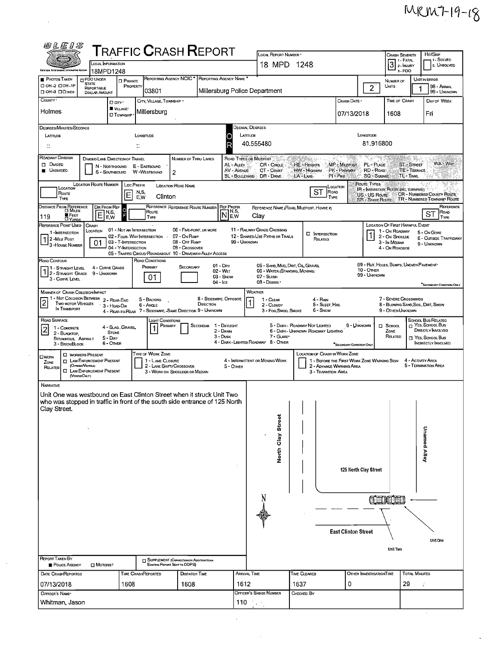$\mathbb{R}^d$ 

| 0LEIS                                                                                                                                                   |                                                              |                                                        |                           |                                       |                                                                                  |                                      |                               |                                                                                                                                                                                 |                       |                                                 |                                             |                                        |                                                             |                      |                                                            |  |  |  |  |  |
|---------------------------------------------------------------------------------------------------------------------------------------------------------|--------------------------------------------------------------|--------------------------------------------------------|---------------------------|---------------------------------------|----------------------------------------------------------------------------------|--------------------------------------|-------------------------------|---------------------------------------------------------------------------------------------------------------------------------------------------------------------------------|-----------------------|-------------------------------------------------|---------------------------------------------|----------------------------------------|-------------------------------------------------------------|----------------------|------------------------------------------------------------|--|--|--|--|--|
| <b>T</b> RAFFIC <b>C</b> RASH <b>R</b> EPORT<br>LOCAL INFORMATION                                                                                       |                                                              |                                                        |                           |                                       |                                                                                  |                                      |                               | LOCAL REPORT NUMBER *<br>18 MPD 1248                                                                                                                                            | <b>CRASH SEVERITY</b> | Hrt/Skip<br>1 - Solved<br><b>2. UNSOLVED</b>    |                                             |                                        |                                                             |                      |                                                            |  |  |  |  |  |
| <b>Ohio Law Enforcement Information System</b>                                                                                                          | 18MPD1248                                                    |                                                        |                           |                                       |                                                                                  |                                      |                               |                                                                                                                                                                                 |                       |                                                 |                                             | 3 <sup>1. FATAL</sup><br>3-PDO         |                                                             |                      |                                                            |  |  |  |  |  |
| PHOTOS TAKEN<br>O OH -2 OOH -1P                                                                                                                         | PDO UNDER<br><b>STATE</b>                                    | <b>D</b> PRIVATE                                       | PROPERTY                  |                                       | REPORTING AGENCY NCIC * REPORTING AGENCY NAME *                                  |                                      |                               |                                                                                                                                                                                 |                       |                                                 |                                             |                                        | NUMBER OF<br>UNITS                                          |                      | <b>UNIT IN ERROR</b><br>98 - ANIMAL                        |  |  |  |  |  |
| □ OH-3 □ OTHER                                                                                                                                          | REPORTABLE<br>DOLLAR AMOUNT                                  |                                                        |                           | 03801                                 |                                                                                  |                                      |                               | Millersburg Police Department                                                                                                                                                   |                       |                                                 |                                             | $\overline{c}$                         |                                                             |                      | 99 - Unknown                                               |  |  |  |  |  |
| COUNTY <sup>.</sup>                                                                                                                                     |                                                              | □ cm·<br>VILLAGE*                                      |                           | CITY, VILLAGE, TOWNSHIP .             |                                                                                  |                                      |                               |                                                                                                                                                                                 |                       |                                                 | Crash Date *                                |                                        | TIME OF CRASH                                               |                      | DAY OF WEEK                                                |  |  |  |  |  |
| Holmes                                                                                                                                                  |                                                              | <b>CI</b> TOWNSHIP                                     |                           | Millersburg                           |                                                                                  |                                      |                               |                                                                                                                                                                                 |                       |                                                 | 07/13/2018                                  |                                        | 1608                                                        |                      | Fri                                                        |  |  |  |  |  |
| DEGREES/MINUTES/SECONDS                                                                                                                                 |                                                              |                                                        |                           |                                       |                                                                                  |                                      |                               | Decimal, Degrees                                                                                                                                                                |                       |                                                 |                                             |                                        |                                                             |                      |                                                            |  |  |  |  |  |
| LATTUDE                                                                                                                                                 |                                                              |                                                        | LONGITUDE                 |                                       |                                                                                  |                                      | O                             | LATTUDE<br>LONGITUDE                                                                                                                                                            |                       |                                                 |                                             |                                        |                                                             |                      |                                                            |  |  |  |  |  |
| $\ddot{ }$                                                                                                                                              |                                                              |                                                        | ∷                         |                                       |                                                                                  |                                      | R                             | 40.555480                                                                                                                                                                       |                       |                                                 |                                             | 81.916800                              |                                                             |                      |                                                            |  |  |  |  |  |
| ROADWAY DIVISION<br>D DIVIDED                                                                                                                           | DIMDED LANE DIRECTION OF TRAVEL                              | N - NORTHBOUND                                         | E - EASTBOUND             |                                       | NUMBER OF THRU LANES                                                             |                                      | AL - Auevi                    | 75.<br>BADI C<br>ROAD TYPES OR MILEPOST<br>2006 Pagaya y<br>WA - Way<br>MP - MILEPOST<br>ST-STREET<br>CR - CIRCLE<br>HE - HEIGHTS<br>PL- Putte                                  |                       |                                                 |                                             |                                        |                                                             |                      |                                                            |  |  |  |  |  |
| <b>UNDIVIDED</b>                                                                                                                                        |                                                              | S - SOUTHBOUND                                         | W -WESTBOUND              |                                       | 2                                                                                |                                      |                               | AV - AVENUE<br>PK - PARKWAY<br>RD-Roap<br>TE - TERRACE<br>CT - Court<br>HW - Highway<br>PI - PIKE<br><b>SQ - SOUARE</b><br>TL-TRAIL<br>BL - Boulevard<br>DR - DRNE<br>LA - LANE |                       |                                                 |                                             |                                        |                                                             |                      |                                                            |  |  |  |  |  |
| ROUTE TYPES<br><b>LOCATION ROUTE NUMBER</b><br><b>LOC PREFIX</b><br>LOCATION ROAD NAME<br>LOCATION<br>LOCATION<br>IR : INTERSTATE ROUTE (INC. TURNPIKE) |                                                              |                                                        |                           |                                       |                                                                                  |                                      |                               |                                                                                                                                                                                 |                       |                                                 |                                             |                                        |                                                             |                      |                                                            |  |  |  |  |  |
| Route<br>TYPE                                                                                                                                           |                                                              | ΙE                                                     | N,S,<br>E.W               | Clinton                               |                                                                                  |                                      |                               |                                                                                                                                                                                 |                       | ST<br>Road<br>TYPE                              |                                             | US - US Route<br><b>SR-STATE ROUTE</b> |                                                             |                      | CR - NUMBERED COUNTY ROUTE<br>TR - NUMBERED TOWNSHIP ROUTE |  |  |  |  |  |
| DISTANCE FROM REFERENCE                                                                                                                                 | DIR FROM REF                                                 | o<br>N,S,                                              |                           | Route                                 | REFERENCE REFERENCE ROUTE NUMBER                                                 |                                      | <b>REF PREFIX</b><br>IN, S,   |                                                                                                                                                                                 |                       | REFERENCE NAME (ROAD, MILEPOST, HOUSE #)        |                                             |                                        |                                                             |                      | REFERENCE<br>ROAD<br>ST                                    |  |  |  |  |  |
| <b>E</b> FEET<br>119<br><b>DYARDS</b><br>REFERENCE POINT USED                                                                                           | Ε<br>CRASH                                                   | F<br>E, W                                              |                           | TYPE                                  |                                                                                  |                                      | E.W                           | Clay                                                                                                                                                                            |                       |                                                 |                                             |                                        | LOCATION OF FIRST HARMFUL EVENT                             |                      | TYPE                                                       |  |  |  |  |  |
| 1-INTERSECTION                                                                                                                                          | LOCATION                                                     | 01 - NOT AN INTERSECTION<br>02 - FOUR-WAY INTERSECTION |                           |                                       | 06 - FIVE-POINT, OR MORE<br>07 - On RAMP                                         |                                      |                               | 11 - RAILWAY GRADE CROSSING<br>12 - SHARED USE PATHS OR TRAILS                                                                                                                  |                       | <b>EL INTERSECTION</b>                          |                                             | 1                                      | 1 - On ROADWAY<br>2 - On Shoulde                            |                      | 5 - On Gore<br><b>6 - OUTSIDE TRAFFICWAY</b>               |  |  |  |  |  |
| 12-MILE POST<br>3-HOUSE NUMBER                                                                                                                          | 01                                                           | 03 - T-INTERSECTION<br>04 - Y-INTERSECTION             |                           |                                       | 08 - Off RAMP<br>09 - Crossover                                                  |                                      |                               | 99 - UNKNOWN                                                                                                                                                                    |                       | RELATED                                         |                                             |                                        | 3 - In Median<br>4 - On ROADSIDE                            |                      | 9 - UNKNOWN                                                |  |  |  |  |  |
| ROAD CONTOUR                                                                                                                                            |                                                              |                                                        |                           | ROAD CONDITIONS                       | 05 - TRAFFIC CIRCLE/ ROUNDABOUT 10 - DRIVEWAY/ ALLEY ACCESS                      |                                      |                               |                                                                                                                                                                                 |                       |                                                 |                                             |                                        |                                                             |                      |                                                            |  |  |  |  |  |
| 1 - STRAIGHT LEVEL                                                                                                                                      | 4 - CURVE GRADE                                              |                                                        |                           | PRIMARY                               | SECONDARY                                                                        |                                      | $01 - \text{Dry}$<br>02 - Wet | 05 - SAND, MUD, DIRT, OIL GRAVEL<br>06 - WATER (STANDING, MOVING)                                                                                                               |                       |                                                 |                                             | <b>10 - OTHER</b>                      | 09 - RUT, HOLES, BUMPS, UNEVEN PAVEMENT*                    |                      |                                                            |  |  |  |  |  |
| 1 2 - STRAIGHT GRADE 9 - UNKNOWN<br>3 - CURVE LEVEL                                                                                                     |                                                              |                                                        |                           | 01                                    |                                                                                  | 04 - Ice                             | 03 - SNOW                     | 07 - Slush<br>08 - DEBRIS ·                                                                                                                                                     |                       |                                                 |                                             | 99 - Unknown                           |                                                             |                      |                                                            |  |  |  |  |  |
| MANNER OF CRASH COLLISION MPACT                                                                                                                         |                                                              |                                                        |                           |                                       |                                                                                  |                                      |                               | WEATHER                                                                                                                                                                         |                       |                                                 |                                             |                                        |                                                             |                      | SECONDARY CONDITION ONLY                                   |  |  |  |  |  |
| 1 - Not Collision Between 2 - Rear-End<br>$\overline{c}$<br>Two motor Vehicles                                                                          |                                                              | 3 - HEAD-ON                                            |                           | 5 - BACKING<br>6 - Angle              |                                                                                  | 8 - SIDESWIPE, OPPOSITE<br>DIRECTION |                               | 1 - CLEAR<br>2 - CLOUDY                                                                                                                                                         |                       | 4 - RAN<br>5 - Sleet, Hall                      |                                             |                                        | 7 - SEVERE CROSSWINDS<br>8 - Blowing Sand, Soil, Dirt, Snow |                      |                                                            |  |  |  |  |  |
| IN TRANSPORT                                                                                                                                            |                                                              |                                                        |                           |                                       | 4 - REAR-TO-REAR 7 - SIDESWIPE, -SAME DIRECTION 9 - UNKNOWN                      |                                      |                               | 3 - Fog Smog, Smoke                                                                                                                                                             |                       | 6 - Snow                                        |                                             |                                        | 9 - Other/Unknown                                           |                      |                                                            |  |  |  |  |  |
| ROAD SURFACE<br>1 - CONCRETE                                                                                                                            |                                                              | 4 - SLAG, GRAVEL                                       |                           | Light Conditions<br>PRIMARY           |                                                                                  | SECONDAR 1 - DAYLIGHT                |                               |                                                                                                                                                                                 |                       | 5 - DARK - ROADWAY NOT LIGHTED                  | 9 - UNKNOWN                                 |                                        | D SCHOOL                                                    |                      | <b>SCHOOL BUS RELATED</b><br>YES, SCHOOL BUS               |  |  |  |  |  |
| 2 - BLACKTOP,<br>BITUMINOUS, ASPHALT                                                                                                                    |                                                              | <b>STONE</b><br>$5 -$ DIRT                             |                           |                                       |                                                                                  |                                      | 2 - Dawn<br>3 - Dusk          | DIRECTLY INVOLVED<br>6 - DARK - UNKNOWN ROADWAY LIGHTING<br>ZONE<br>7 - GLARE*<br>RELATED<br>T YES, SCHOOL BUS                                                                  |                       |                                                 |                                             |                                        |                                                             |                      |                                                            |  |  |  |  |  |
| 3 - BRICK/BLOCK                                                                                                                                         |                                                              | 6 - OTHER                                              |                           |                                       |                                                                                  |                                      |                               | 4 - DARK - LIGHTED ROADWAY 8 - OTHER<br>INDIRECTLY INVOLVED<br>"SECONDARY CONDITION ONLY                                                                                        |                       |                                                 |                                             |                                        |                                                             |                      |                                                            |  |  |  |  |  |
| <b>OWORK</b><br>ZONE                                                                                                                                    | <b>U</b> WORKERS PRESENT<br><b>T LAW ENFORCEMENT PRESENT</b> |                                                        |                           | TYPE OF WORK ZONE<br>1 - LANE CLOSURE |                                                                                  |                                      |                               | 4 - INTERMITTENT OR MOVING WORK                                                                                                                                                 |                       | LOCATION OF CRASH IN WORK ZONE                  | 1 - BEFORE THE FIRST WORK ZONE WARNING SIGN |                                        |                                                             | 4 - ACTIVITY AREA    |                                                            |  |  |  |  |  |
| RELATED                                                                                                                                                 | (OFFICER/VEHICLE)<br><b>I LAW ENFORCEMENT PRESENT</b>        |                                                        |                           |                                       | 2 - LANE SHIFT/ CROSSOVER<br>3 - WORK ON SHOULDER OR MEDIAN                      |                                      | 5 - OTHER                     |                                                                                                                                                                                 |                       | 2 - ADVANCE WARNING AREA<br>3 - Transition Area |                                             |                                        |                                                             |                      | 5 - TERMINATION AREA                                       |  |  |  |  |  |
| <b>NARRATIVE</b>                                                                                                                                        | (VEHICLE ONLY)                                               |                                                        |                           |                                       |                                                                                  |                                      |                               |                                                                                                                                                                                 |                       |                                                 |                                             |                                        |                                                             |                      |                                                            |  |  |  |  |  |
| Unit One was westbound on East Clinton Street when it struck Unit Two                                                                                   |                                                              |                                                        |                           |                                       |                                                                                  |                                      |                               |                                                                                                                                                                                 |                       |                                                 |                                             |                                        |                                                             |                      |                                                            |  |  |  |  |  |
| who was stopped in traffic in front of the south side entrance of 125 North<br>Clay Street.                                                             |                                                              |                                                        |                           |                                       |                                                                                  |                                      |                               |                                                                                                                                                                                 |                       |                                                 |                                             |                                        |                                                             |                      |                                                            |  |  |  |  |  |
|                                                                                                                                                         |                                                              |                                                        |                           |                                       |                                                                                  |                                      |                               |                                                                                                                                                                                 |                       |                                                 |                                             |                                        |                                                             |                      |                                                            |  |  |  |  |  |
|                                                                                                                                                         |                                                              |                                                        |                           |                                       |                                                                                  |                                      |                               | <b>Street</b>                                                                                                                                                                   |                       |                                                 |                                             |                                        |                                                             |                      |                                                            |  |  |  |  |  |
|                                                                                                                                                         |                                                              |                                                        |                           |                                       |                                                                                  |                                      |                               |                                                                                                                                                                                 |                       |                                                 |                                             |                                        |                                                             |                      | Unamed Alley                                               |  |  |  |  |  |
|                                                                                                                                                         |                                                              |                                                        |                           |                                       |                                                                                  |                                      |                               | North Clay                                                                                                                                                                      |                       |                                                 |                                             |                                        |                                                             |                      |                                                            |  |  |  |  |  |
|                                                                                                                                                         |                                                              |                                                        |                           |                                       |                                                                                  |                                      |                               |                                                                                                                                                                                 |                       |                                                 |                                             |                                        |                                                             |                      |                                                            |  |  |  |  |  |
|                                                                                                                                                         |                                                              |                                                        |                           |                                       |                                                                                  |                                      |                               | 125 North Clay Street                                                                                                                                                           |                       |                                                 |                                             |                                        |                                                             |                      |                                                            |  |  |  |  |  |
|                                                                                                                                                         |                                                              |                                                        |                           |                                       |                                                                                  |                                      |                               |                                                                                                                                                                                 |                       |                                                 |                                             |                                        |                                                             |                      |                                                            |  |  |  |  |  |
|                                                                                                                                                         |                                                              |                                                        |                           |                                       |                                                                                  |                                      |                               | <b>CENCER</b>                                                                                                                                                                   |                       |                                                 |                                             |                                        |                                                             |                      |                                                            |  |  |  |  |  |
|                                                                                                                                                         |                                                              |                                                        |                           |                                       |                                                                                  |                                      |                               |                                                                                                                                                                                 |                       |                                                 |                                             |                                        |                                                             |                      |                                                            |  |  |  |  |  |
|                                                                                                                                                         |                                                              |                                                        |                           |                                       |                                                                                  |                                      |                               |                                                                                                                                                                                 |                       |                                                 |                                             |                                        |                                                             |                      |                                                            |  |  |  |  |  |
|                                                                                                                                                         |                                                              |                                                        |                           | <b>East Clinton Street</b>            |                                                                                  |                                      |                               |                                                                                                                                                                                 |                       |                                                 |                                             |                                        |                                                             |                      |                                                            |  |  |  |  |  |
|                                                                                                                                                         |                                                              |                                                        |                           |                                       |                                                                                  |                                      |                               |                                                                                                                                                                                 |                       |                                                 |                                             |                                        |                                                             |                      | <b>Unit One</b>                                            |  |  |  |  |  |
|                                                                                                                                                         |                                                              |                                                        |                           |                                       |                                                                                  |                                      |                               |                                                                                                                                                                                 |                       |                                                 |                                             |                                        | <b>Unit Two</b>                                             |                      |                                                            |  |  |  |  |  |
| REPORT TAKEN BY<br>POLICE AGENCY                                                                                                                        | <b>D</b> MOTORIST                                            |                                                        |                           |                                       | <b>SUPPLEMENT (CORRECTION OR ADDITION TO AN</b><br>Existing Report Sent to ODPS) |                                      |                               |                                                                                                                                                                                 |                       |                                                 |                                             |                                        |                                                             |                      |                                                            |  |  |  |  |  |
| DATE CRASHREPORTEO                                                                                                                                      |                                                              |                                                        | <b>TIME CRASHREPORTED</b> |                                       | <b>DISPATCH TIME</b>                                                             |                                      |                               | Arrival Time                                                                                                                                                                    |                       | TIME CLEARED                                    |                                             | OTHER INVESTIGATION TIME               |                                                             | <b>TOTAL MINUTES</b> |                                                            |  |  |  |  |  |
| 07/13/2018                                                                                                                                              |                                                              | 1608                                                   |                           |                                       | 1608                                                                             |                                      |                               | 1612                                                                                                                                                                            |                       | 1637                                            | 0                                           |                                        | 29                                                          |                      | Í                                                          |  |  |  |  |  |
| OFFICER'S NAME*                                                                                                                                         |                                                              |                                                        |                           |                                       |                                                                                  |                                      |                               | OFFICER'S BADGE NUMBER                                                                                                                                                          |                       | CHECKED BY                                      |                                             |                                        |                                                             |                      |                                                            |  |  |  |  |  |
| Whitman, Jason                                                                                                                                          |                                                              |                                                        |                           |                                       |                                                                                  |                                      |                               | $110 - 14$                                                                                                                                                                      |                       |                                                 |                                             |                                        |                                                             |                      |                                                            |  |  |  |  |  |

 $\ddot{\phantom{0}}$ 

 $\mathcal{L}_{\mathcal{F}}$ 

 $\ddot{\phantom{a}}$ 

 $\ddot{\phantom{0}}$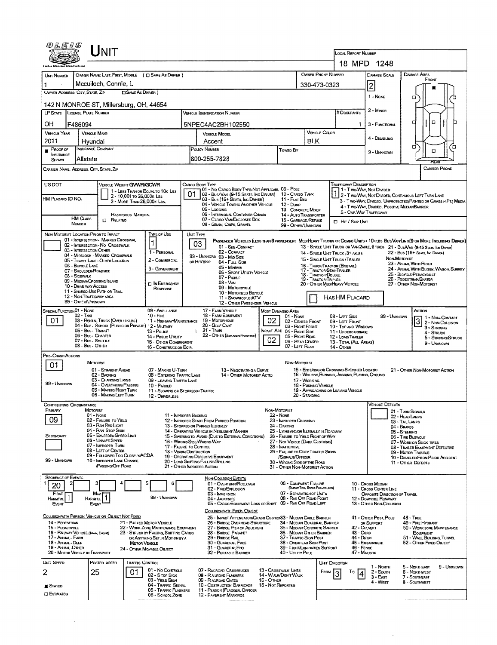| <i>©LE1S</i>                                                                                                                                                                     |                                                | <b>NIT</b>                                                            |                            |                                                                      |                                              |                                                                                                                              |                                                               |                                                                                   |                                                        |                                                                                                 |                                                                                                                                                        |                                                         |                                                |               |  |  |  |
|----------------------------------------------------------------------------------------------------------------------------------------------------------------------------------|------------------------------------------------|-----------------------------------------------------------------------|----------------------------|----------------------------------------------------------------------|----------------------------------------------|------------------------------------------------------------------------------------------------------------------------------|---------------------------------------------------------------|-----------------------------------------------------------------------------------|--------------------------------------------------------|-------------------------------------------------------------------------------------------------|--------------------------------------------------------------------------------------------------------------------------------------------------------|---------------------------------------------------------|------------------------------------------------|---------------|--|--|--|
|                                                                                                                                                                                  |                                                |                                                                       |                            |                                                                      |                                              |                                                                                                                              |                                                               |                                                                                   |                                                        | LOCAL REPORT NUMBER                                                                             | 18 MPD 1248                                                                                                                                            |                                                         |                                                |               |  |  |  |
| <b>UNT NUMBER</b>                                                                                                                                                                |                                                |                                                                       |                            | OWNER NAME: LAST, FIRST, MIDDLE ( C) SAME AS DRIVER )                |                                              |                                                                                                                              |                                                               |                                                                                   |                                                        | <b>OWNER PHONE NUMBER</b>                                                                       | <b>DAMAGE SCALE</b>                                                                                                                                    |                                                         | <b>DAMAGE AREA</b><br>FRONT                    |               |  |  |  |
|                                                                                                                                                                                  |                                                | Mcculloch, Connie, L                                                  |                            |                                                                      |                                              |                                                                                                                              | 330-473-0323                                                  |                                                                                   | $\overline{2}$                                         |                                                                                                 |                                                                                                                                                        |                                                         |                                                |               |  |  |  |
| OWNER ADDRESS: CITY, STATE, ZIP                                                                                                                                                  |                                                |                                                                       | <b>CISAME AS DRIVER</b> )  |                                                                      |                                              |                                                                                                                              |                                                               |                                                                                   |                                                        |                                                                                                 |                                                                                                                                                        |                                                         |                                                |               |  |  |  |
| 142 N MONROE ST, Millersburg, OH, 44654                                                                                                                                          |                                                |                                                                       |                            |                                                                      |                                              |                                                                                                                              |                                                               |                                                                                   |                                                        |                                                                                                 | 1 - NONE                                                                                                                                               | α                                                       |                                                |               |  |  |  |
| LP STATE                                                                                                                                                                         | <b>LICENSE PLATE NUMBER</b>                    |                                                                       |                            |                                                                      |                                              | <b>VEHICLE TOENTIFICATION NUMBER</b>                                                                                         |                                                               |                                                                                   |                                                        | # Occupants                                                                                     | $2 -$ MINOR                                                                                                                                            |                                                         |                                                |               |  |  |  |
| OH                                                                                                                                                                               | F486094                                        |                                                                       |                            |                                                                      |                                              | 5NPEC4AC2BH102550                                                                                                            |                                                               |                                                                                   |                                                        |                                                                                                 | 3 - FUNCTIONAL                                                                                                                                         | о                                                       | ۵                                              |               |  |  |  |
| <b>VEHICLE YEAR</b><br><b>VERICLE MAKE</b>                                                                                                                                       |                                                |                                                                       |                            |                                                                      |                                              | VEHICLE MODEL                                                                                                                |                                                               |                                                                                   | <b>VEHICLE COLOR</b>                                   |                                                                                                 | 4 - DISABUNG                                                                                                                                           |                                                         |                                                |               |  |  |  |
| 2011<br>Hvundai<br><b>INSURANCE COMPANY</b><br>PROOF OF                                                                                                                          |                                                |                                                                       |                            |                                                                      |                                              | Accent<br>POLICY NUMBER                                                                                                      | <b>BLK</b>                                                    |                                                                                   |                                                        | ۵                                                                                               |                                                                                                                                                        | ่อ                                                      |                                                |               |  |  |  |
| INSURANCE<br>SHOWN                                                                                                                                                               | Allstate                                       |                                                                       |                            |                                                                      |                                              | 800-255-7828                                                                                                                 |                                                               | Towed By                                                                          |                                                        |                                                                                                 | 9 - UNKNOWN                                                                                                                                            |                                                         | O<br>FEAR                                      |               |  |  |  |
| CARRIER NAME, ADDRESS, CITY, STATE, ZIP                                                                                                                                          |                                                |                                                                       |                            |                                                                      |                                              |                                                                                                                              |                                                               |                                                                                   |                                                        |                                                                                                 |                                                                                                                                                        |                                                         |                                                | CARRIER PHONE |  |  |  |
| <b>USDOT</b>                                                                                                                                                                     |                                                | VEHICLE WEIGHT GVWR/GCWR                                              |                            |                                                                      |                                              | CARGO BODY TYPE                                                                                                              |                                                               |                                                                                   |                                                        | <b>TRAFFICWAY DESCRIPTION</b>                                                                   |                                                                                                                                                        |                                                         |                                                |               |  |  |  |
| HM PLACARD ID NO.                                                                                                                                                                |                                                |                                                                       | 2 - 10,001 To 26,000K Las  | 1 - LESS THAN OR EQUALTO 10K LBS                                     |                                              | 01 - No CARGO BOOY TYPE/NOT APPLICABL 09 - POLE<br>02 - Bus/VAN (9-15 SEATS, INC DRIVER) 10 - CARGO TANK                     |                                                               | 11 - FLAT BED                                                                     |                                                        |                                                                                                 | 1 - T WO-WAY, NOT DIVIDED<br>1 2 - T WO-WAY, NOT DIVIDED, CONTINUOUS LEFT TURN LANE                                                                    |                                                         |                                                |               |  |  |  |
|                                                                                                                                                                                  |                                                |                                                                       | 3 - More THAN 26,000K LBS. |                                                                      |                                              | 03 - Bus (15+ Seats, Inc Driver)<br>04 - VEHICLE TOWING ANOTHER VEHICLE<br>05 - Logging                                      |                                                               | 12 - Dump<br>13 - CONCRETE MIXER                                                  |                                                        |                                                                                                 | 3 - T WO-WAY, DIVIDED, UNPROTECTED (PAINTED OR GRASS > AFT.) MEDIA<br>4 - T WO-WAY, DIVIDED, POSITIVE MEDIAN BARRIER                                   |                                                         |                                                |               |  |  |  |
|                                                                                                                                                                                  |                                                |                                                                       | <b>HAZARDOUS MATERIAL</b>  |                                                                      |                                              | 06 - INTERMODAL CONTAINER CHASIS<br>07 - CARGO VAN ENCLOSED BOX                                                              |                                                               | 14 - AUTO TRANSPORTER                                                             |                                                        |                                                                                                 | 5 - ONE-WAY TRAFFICWAY                                                                                                                                 |                                                         |                                                |               |  |  |  |
| <b>HM CLASS</b><br><b>CI RELATED</b><br><b>NUMBER</b><br>NON-MOTORIST LOCATION PRIOR TO IMPACT                                                                                   |                                                |                                                                       |                            |                                                                      |                                              | 08 - GRAIN, CHIPS, GRAVEL                                                                                                    |                                                               | 15 - GARBAGE /REFUSE<br>99 - OTHER/UNKNOWN                                        |                                                        | <b>CI HIT / SKIP UNIT</b>                                                                       |                                                                                                                                                        |                                                         |                                                |               |  |  |  |
|                                                                                                                                                                                  |                                                | 01 - INTERSECTION - MARKED CROSSWAL                                   |                            | Type of Use                                                          | UNIT TYPE                                    | Passenger Vehicles (lebs than 9 passengers MediHeavy Trucks or Combo Units > 10k lbs BusWawLino(9 or More Including Driver)) |                                                               |                                                                                   |                                                        |                                                                                                 |                                                                                                                                                        |                                                         |                                                |               |  |  |  |
|                                                                                                                                                                                  | 03 - INTERSECTION OTHER                        | 02 - INTERSECTION - NO CROSSWALK                                      |                            | 1                                                                    |                                              | 03<br>01 - Sub-COMPACT                                                                                                       |                                                               |                                                                                   |                                                        | 13 - SINGLE UNIT TRUCK OR VAN 2AXLE, 6 TIRES 21 - BUS/VAN (9-15 SEATS, INC DRIVER)              |                                                                                                                                                        |                                                         |                                                |               |  |  |  |
|                                                                                                                                                                                  |                                                | 04 - MIDBLOCK - MARKED CROSSWALK<br>05 - TRAVEL LANE - OTHER LOCATION |                            | 1 - PERSONAL<br>2 - COMMERCIAL                                       |                                              | 02 - COMPACT<br>99 - UNKNOWN 03 - MID SIZE<br>OR HIT/SKIP                                                                    |                                                               |                                                                                   |                                                        | 15 - SINGLE UNIT TRUCK / TRAILER                                                                | 22 - Bus (15+ Seats, Inc Driver)<br>14 - Single Unit Truck 3+ Axles<br>NON-MOTORIST<br>23 - ANIMAL WITH RIDER<br>24 - ANIMAL WITH BUGGY, WAGON, SURREY |                                                         |                                                |               |  |  |  |
|                                                                                                                                                                                  | 06 - BIGYCLE LANE<br>07 - SHOULDER ROADSIDE    |                                                                       |                            | 3 - GOVERNMENT                                                       |                                              | 04 - Fuu, Size<br>05 - MINIVAN                                                                                               |                                                               |                                                                                   |                                                        | 16 - TRUCK/TRACTOR (BOSTAIL)<br>17 - TRACTOR/SEMI-TRAILER                                       |                                                                                                                                                        |                                                         |                                                |               |  |  |  |
|                                                                                                                                                                                  | 08 - SIDEWALK<br>09 - MEDIAN/CROSSING ISLAND   |                                                                       |                            |                                                                      |                                              | 06 - Sport Utility Vehicle<br>07 - Pickup                                                                                    |                                                               |                                                                                   |                                                        | 18 - TRACTOR/DOUBLE<br>19 - TRACTOR/TRIPLES                                                     | 25 - BICYCLE/PEDACYCLIST<br>26 - PEDESTRIAN/SKATER                                                                                                     |                                                         |                                                |               |  |  |  |
|                                                                                                                                                                                  | 10 - DRIVE WAY ACCESS                          | 11 - SHARED-USE PATH OR TRAIL                                         |                            | <b>EIN EMERGENCY</b><br><b>RESPONSE</b>                              |                                              | $08 - V_{AN}$<br>09 - MOTORCYCLE                                                                                             |                                                               |                                                                                   | 20 - OTHER MEDIHEAVY VEHICLE                           | 27 - OTHER NON-MOTORIST                                                                         |                                                                                                                                                        |                                                         |                                                |               |  |  |  |
|                                                                                                                                                                                  | 12 - NON-TRAFFICWAY AREA<br>99 - OTHER/UNKNOWN |                                                                       |                            |                                                                      |                                              | 10 - MOTORIZED BICYCLE<br>11 - SNOWHOBILE/ATV                                                                                |                                                               |                                                                                   | HASHM PLACARD                                          |                                                                                                 |                                                                                                                                                        |                                                         |                                                |               |  |  |  |
| SPECIAL FUNCTION 01 - NONE                                                                                                                                                       |                                                |                                                                       |                            | 09 - AMBULANCE                                                       |                                              | 12 - OTHER PASSENGER VEHICLE<br>17 - FARM VEHICLE                                                                            |                                                               | MOST DAMAGED AREA                                                                 |                                                        |                                                                                                 |                                                                                                                                                        |                                                         | ACTION                                         |               |  |  |  |
| 02 - Taxi<br>$10 -$ Fine<br>01<br>03 - RENTAL TRUCK (OVER 10KLBS)<br>11 - HIGHWAY/MAINTENANCE                                                                                    |                                                |                                                                       |                            |                                                                      | <b>18 - FARM EQUIPMENT</b><br>19 - MOTORHOME | 08 - Left Side<br>09 - LEFT FRONT                                                                                            |                                                               | 99 - UNKNOWN                                                                      | 3                                                      | 1 - Non-Contact<br>2 - Non-Colusion                                                             |                                                                                                                                                        |                                                         |                                                |               |  |  |  |
| 04 - Bus - SCHOOL (PUBLIC OR PRIVATE) 12 - MILITARY<br>05 - Bus - Transit<br>13 - Pouce<br>06 - Bus - CHARTER<br>14 - Pusuc Unury<br>07 - Bus - SHUTTLE<br>15 - Other Government |                                                |                                                                       |                            |                                                                      |                                              | 20 - Gour Cart<br>21 - TRAIN                                                                                                 |                                                               | 10 - TOP AND WINDOWS<br>$3 -$ Striking<br>11 - UNDERCARRIAGE<br>4 - Struck        |                                                        |                                                                                                 |                                                                                                                                                        |                                                         |                                                |               |  |  |  |
|                                                                                                                                                                                  |                                                |                                                                       |                            |                                                                      |                                              | 22 - OTHER (EXPLAIN IN NARATIVE)                                                                                             | 12 - LOAD/TRAILER<br>13-TOTAL (ALL AREAS)                     |                                                                                   |                                                        |                                                                                                 | 5 - STRIKING/STRUCK                                                                                                                                    |                                                         |                                                |               |  |  |  |
|                                                                                                                                                                                  | 08 - Bus - Other                               |                                                                       |                            | 16 - CONSTRUCTION EOIP.                                              |                                              |                                                                                                                              | 02                                                            | 06 - REAR CENTER<br>07 - LEFT REAR                                                |                                                        | 14 - OTHER                                                                                      |                                                                                                                                                        |                                                         | 9 - Ungovovni                                  |               |  |  |  |
| PRE- Crash Actions<br>01                                                                                                                                                         | <b>MOTORIST</b>                                |                                                                       |                            |                                                                      |                                              |                                                                                                                              |                                                               | NON-MOTORIST                                                                      |                                                        |                                                                                                 |                                                                                                                                                        |                                                         |                                                |               |  |  |  |
|                                                                                                                                                                                  |                                                | 01 - STRAIGHT AHEAD<br>02 - BACKING                                   |                            | 07 - MAKING U-TURN<br>08 - ENTERING TRAFFIC LANE                     |                                              | 13 - Negotiating a Curve<br>14 - OTHER MOTORIST ACTIO                                                                        |                                                               |                                                                                   |                                                        | 15 - ENTERING OR CROSSING SPECIFIED LOCATIO<br>16 - WALKING, RUNNING, JOGGING, PLAYING, CYCLING |                                                                                                                                                        | 21 - OTHER NON-MOTORIST ACTION                          |                                                |               |  |  |  |
| 99 - UNKNOWN                                                                                                                                                                     |                                                | 03 - CHANGING LANES<br>04 - OVERTAKING/PASSING                        |                            | 09 - LEAVING TRAFFIC LANE                                            |                                              |                                                                                                                              |                                                               | 17 - WORKING                                                                      |                                                        |                                                                                                 |                                                                                                                                                        |                                                         |                                                |               |  |  |  |
|                                                                                                                                                                                  |                                                | 05 - MAKING RIGHT TURN<br>06 - MAKING LEFT TURN                       |                            | 10 - PARKED<br>11 - SLOWING OR STOPPED IN TRAFFIC<br>12 - DRIVERLESS |                                              |                                                                                                                              |                                                               |                                                                                   | 18 - Pushing Vehicle<br>20 - STANDING                  | 19 - APPROACHING OR LEAVING VEHICLE                                                             |                                                                                                                                                        |                                                         |                                                |               |  |  |  |
| CONTRIBUTING CIRCUMSTANCE                                                                                                                                                        |                                                |                                                                       |                            |                                                                      |                                              |                                                                                                                              |                                                               |                                                                                   |                                                        |                                                                                                 | <b>VEHICLE DEFECTS</b>                                                                                                                                 |                                                         |                                                |               |  |  |  |
| PRIMARY                                                                                                                                                                          | Motorist<br>01 - None                          |                                                                       |                            | 11 - IMPROPER BACKING                                                |                                              |                                                                                                                              | NON-MOTORIST                                                  | 22 - Nove                                                                         |                                                        |                                                                                                 |                                                                                                                                                        | 01 - TURN SIGNALS<br>02 - HEAD LAMPS                    |                                                |               |  |  |  |
| 09                                                                                                                                                                               |                                                | 02 - FAILURE TO YIELD<br>03 - Ran Reo Ligim                           |                            |                                                                      |                                              | 12 - IMPROPER START FROM PARKED POSITION<br>13 - STOPPED OR PARKED ILLEGALLY                                                 |                                                               | 23 - IMPROPER CROSSING<br>24 - DARTING                                            |                                                        |                                                                                                 | 03 - TAIL LAMPS                                                                                                                                        |                                                         |                                                |               |  |  |  |
| SECONDARY                                                                                                                                                                        |                                                | 04 - RAN STOP SIGN<br>05 - Exceeded Speed Limit                       |                            |                                                                      |                                              | 14 - OPERATING VEHICLE IN NEGLIGENT MANNER<br>15 - Swering to Avoid (Due to External Conditions)                             |                                                               | 25 - LYING ANDJOR LLEGALLY IN ROADWAY<br>26 - FALURE TO YIELD RIGHT OF WAY        |                                                        | 04 - BRAKES<br>05 - STEERING<br>06 - TIRE BLOWOUT                                               |                                                                                                                                                        |                                                         |                                                |               |  |  |  |
|                                                                                                                                                                                  |                                                | 06 - UNSAFE SPEED<br>07 - IMPROPER TURN                               |                            | 17 - FALURE TO CONTROL                                               |                                              | 16 - WRONG SIDE/WRONG WAY                                                                                                    |                                                               | 27 - NOT VISIBLE (DARK CLOTHING)<br>28 - INATTENTIVE                              |                                                        |                                                                                                 | 07 - WORN OR SUCK TIRES                                                                                                                                |                                                         |                                                |               |  |  |  |
|                                                                                                                                                                                  |                                                | 08 - LEFT OF CENTER<br>09 - Followed Too Closely/ACDA                 |                            | 18 - VISION OBSTRUCTION                                              |                                              | 19 - OPERATING DEFECTIVE EQUIPMENT                                                                                           | 29 - FAILURE TO OBEY TRAFFIC SIGNS                            |                                                                                   | 08 - TRAILER EQUIPMENT DEFECTIVE<br>09 - MOTOR TROUBLE |                                                                                                 |                                                                                                                                                        |                                                         |                                                |               |  |  |  |
| 99 - UNKNOWN                                                                                                                                                                     |                                                | 10 - IMPROPER LANE CHANGE<br>PASSING OFF ROAD                         |                            |                                                                      |                                              | 20 - LOAD SHIFTING/FALLING/SPILLING<br>21 - OTHER IMPROPER ACTION                                                            |                                                               | /SIGNALS/OFFICER<br>30 - WRONG SIDE OF THE ROAD<br>31 - OTHER NON-MOTORIST ACTION |                                                        |                                                                                                 |                                                                                                                                                        | 10 - DISABLED FROM PRIOR ACCIDENT<br>11 - OTHER DEFECTS |                                                |               |  |  |  |
| <b>SEQUENCE OF EVENTS</b>                                                                                                                                                        |                                                |                                                                       |                            |                                                                      |                                              | <b>NON-COLUSION EVENTS</b>                                                                                                   |                                                               |                                                                                   |                                                        |                                                                                                 |                                                                                                                                                        |                                                         |                                                |               |  |  |  |
| 2<br>20                                                                                                                                                                          | з                                              |                                                                       |                            | 6                                                                    |                                              | 01 - OVERTURN/ROLLOVER<br>02 - FIRE/EXPLOSION                                                                                |                                                               | 06 - EQUIPMENT FALURE                                                             | (BLOWN TIRE, BRAKE FAILURE, ETC)                       |                                                                                                 | 10 - Cross Median<br>11 - Cross Center Line                                                                                                            |                                                         |                                                |               |  |  |  |
| FIRST<br>HARMFUL <sup>1</sup>                                                                                                                                                    | Harnful                                        | Most                                                                  |                            | 99 - UNKNOWN                                                         |                                              | 03 - IMMERSION<br>04 - Jackionife                                                                                            |                                                               | 07 - SEPARATION OF UNITS<br>08 - RAN OFF ROAD RIGHT                               |                                                        |                                                                                                 | OPPOSITE DIRECTION OF TRAVEL<br>12 - DOWNHILL RUNAWAY                                                                                                  |                                                         |                                                |               |  |  |  |
| EVENT                                                                                                                                                                            | Event                                          |                                                                       |                            |                                                                      |                                              | 05 - CARGO/EQUIPMENT LOSS OR SHIFT 09 - RAN OFF ROAD LEFT<br>COLLISION WITH FIXED, OBJECT                                    |                                                               |                                                                                   |                                                        |                                                                                                 | 13 - OTHER NON-COLLISION                                                                                                                               |                                                         |                                                |               |  |  |  |
| COLLISION WITH PERSON, VEHICLE OR OBJECT NOT FIXED                                                                                                                               |                                                |                                                                       |                            |                                                                      |                                              | 25 - IMPACT ATTENUATOR/CRASH CUSHION33 - MEDIAN CABLE BARRIER                                                                |                                                               |                                                                                   |                                                        |                                                                                                 | 41 - OTHER POST, POLE                                                                                                                                  | 48 - TREE                                               |                                                |               |  |  |  |
| 14 - PEDESTRIAN<br>21 - PARKED MOTOR VEHICLE<br>15 - PEDALOYCLE<br>22 - WORK ZONE MAINTENANCE EQUIPMENT                                                                          |                                                |                                                                       |                            |                                                                      |                                              | 26 - BRIDGE OVERHEAD STRUCTURE<br>27 - BRIDGE PIER OR ABUTMENT                                                               | 34 - MEDIAN GUARDRAIL BARRIER<br>35 - MEDIAN CONCRETE BARRIER | OR SUPPORT<br>42 - Culvert                                                        |                                                        | 49 - FIRE HYDRANT<br>50 - WORK ZONE MAINTENANCE                                                 |                                                                                                                                                        |                                                         |                                                |               |  |  |  |
| 23 - STRUCK BY FALLING, SHIFTING CARGO<br>16 - RAILWAY VEHICLE (TRAIN ENGINE)<br>17 - Anemal - Farm<br>OR ANYTHING SET IN MOTION BY A                                            |                                                |                                                                       |                            |                                                                      |                                              | 28 - BRIDGE PARAPET<br>36 - MEDIAN OTHER BARRIER<br>29 - BRIDGE RAIL<br>37 - Traffic Sign Post<br>38 - Overhead Sign Post    |                                                               |                                                                                   |                                                        |                                                                                                 | 43 - Cuna<br>44 - Олсн                                                                                                                                 |                                                         | <b>EQUIPMENT</b><br>51 - WALL BUILDING, TUNNEL |               |  |  |  |
| 18 - Annal - Deer<br>19 - ANIMAL-OTHER<br>20 - MOTOR VEHICLE IN TRANSPORT                                                                                                        |                                                |                                                                       | <b>MOTOR VEHICLE</b>       | 24 - OTHER MOVABLE OBJECT                                            |                                              | 30 - GUARDRAIL FACE<br>31 - GUARDRAILEND<br>32 - PORTABLE BARRIER                                                            |                                                               | 39 - Light/Luminaries Support<br>40 - Unury Pous                                  |                                                        |                                                                                                 | 45 - Embankment<br>46 - FENCE<br>47 - MAILBOX                                                                                                          |                                                         | 52 - OTHER FIXED OSJECT                        |               |  |  |  |
| UNIT SPEED                                                                                                                                                                       |                                                | Posteo Speen                                                          | TRAFFIC CONTROL            |                                                                      |                                              |                                                                                                                              |                                                               |                                                                                   |                                                        | <b>UMT DIRECTION</b>                                                                            |                                                                                                                                                        |                                                         |                                                |               |  |  |  |
| 2                                                                                                                                                                                | 25                                             |                                                                       | 01                         | 01 - No Controls                                                     |                                              | 07 - RALROAD CROSSBUCKS                                                                                                      |                                                               | 13 - CROSSWALK LINES                                                              |                                                        | FROM<br>То                                                                                      | 1 - North<br>$2 -$ South<br>4                                                                                                                          |                                                         | 5 - NORTHEAST<br>6 - NORTHWEST                 | 9 - UNKNOWN   |  |  |  |
|                                                                                                                                                                                  |                                                |                                                                       |                            | 02 - S TOP SIGN<br>03 - YIELD SIGN                                   |                                              | 08 - RAUROAD FLASHERS<br>09 - RAURDAD GATES                                                                                  | <b>15 - OTHER</b>                                             | 14 - WALK/DON'T WALK                                                              |                                                        |                                                                                                 | $3 - EAST$<br>4 - West                                                                                                                                 |                                                         | 7 - SOUTHEAST<br>8 - Soumwest                  |               |  |  |  |
| <b>E</b> STATED<br><b>CI ESTIMATED</b>                                                                                                                                           |                                                |                                                                       |                            | 04 - TRAFFIC SIGNAL<br>05 - TRAFFIC FLASHERS                         |                                              | 10 - COSTRUCTION BARRICADE<br>11 - PERSON (FLAGGER, OFFICER                                                                  | 16 - Not Reported                                             |                                                                                   |                                                        |                                                                                                 |                                                                                                                                                        |                                                         |                                                |               |  |  |  |
|                                                                                                                                                                                  |                                                |                                                                       |                            | 06 - SCHOOL ZONE                                                     |                                              | 12 - PAVEMENT MARKINGS                                                                                                       |                                                               |                                                                                   |                                                        |                                                                                                 |                                                                                                                                                        |                                                         |                                                |               |  |  |  |

 $\sim$   $\sim$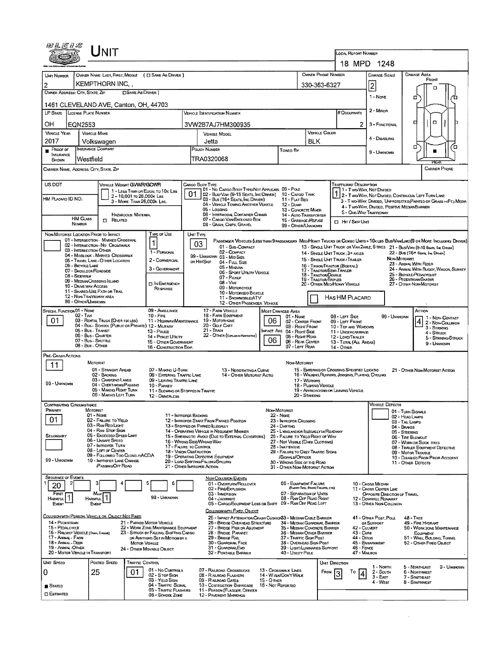| 田札にりぶ                                                                                                                                    |                                                | NIT                                                                     |                                                         |                                                      |                               |                                                                                                                                                                                |                                                                         |                      |                                                     |                                       |                 | <b>LOCAL REPORT NUMBER</b>                                                                                                                                 |                                                                                                                                  |                                                        |                                                                                                                              |  |  |  |  |
|------------------------------------------------------------------------------------------------------------------------------------------|------------------------------------------------|-------------------------------------------------------------------------|---------------------------------------------------------|------------------------------------------------------|-------------------------------|--------------------------------------------------------------------------------------------------------------------------------------------------------------------------------|-------------------------------------------------------------------------|----------------------|-----------------------------------------------------|---------------------------------------|-----------------|------------------------------------------------------------------------------------------------------------------------------------------------------------|----------------------------------------------------------------------------------------------------------------------------------|--------------------------------------------------------|------------------------------------------------------------------------------------------------------------------------------|--|--|--|--|
|                                                                                                                                          |                                                |                                                                         |                                                         |                                                      |                               |                                                                                                                                                                                |                                                                         |                      |                                                     |                                       |                 | 18 MPD 1248                                                                                                                                                |                                                                                                                                  |                                                        |                                                                                                                              |  |  |  |  |
| UNIT NUMBER                                                                                                                              |                                                |                                                                         |                                                         | OWNER NAME: LAST, FIRST, MIDDLE ( E SAME AS DRIVER ) |                               |                                                                                                                                                                                |                                                                         |                      |                                                     | OWNER PHONE NUMBER                    |                 |                                                                                                                                                            | <b>DAMAGE SCALE</b>                                                                                                              |                                                        | <b>DAMAGE AREA</b>                                                                                                           |  |  |  |  |
| 2                                                                                                                                        |                                                | KEMPTHORN INC.                                                          |                                                         |                                                      |                               |                                                                                                                                                                                |                                                                         |                      |                                                     | 330-363-6327                          |                 |                                                                                                                                                            | $\overline{2}$                                                                                                                   |                                                        | FRONT                                                                                                                        |  |  |  |  |
| OWNER ADDRESS: CITY, STATE, ZIP                                                                                                          |                                                |                                                                         |                                                         |                                                      |                               |                                                                                                                                                                                |                                                                         |                      |                                                     | o                                     |                 |                                                                                                                                                            |                                                                                                                                  |                                                        |                                                                                                                              |  |  |  |  |
| 1461 CLEVELAND AVE, Canton, OH, 44703                                                                                                    |                                                |                                                                         |                                                         |                                                      |                               |                                                                                                                                                                                |                                                                         |                      |                                                     |                                       |                 | 1 - Nove<br>$2 -$ MiNDR                                                                                                                                    |                                                                                                                                  | ۵                                                      |                                                                                                                              |  |  |  |  |
| LP STATE                                                                                                                                 | LICENSE PLATE NUMBER                           |                                                                         |                                                         |                                                      |                               | <b>VEHICLE IDENTIFICATION NUMBER</b>                                                                                                                                           |                                                                         |                      |                                                     |                                       |                 | # Occupants                                                                                                                                                |                                                                                                                                  |                                                        |                                                                                                                              |  |  |  |  |
| ОH                                                                                                                                       | EQN2553                                        |                                                                         |                                                         |                                                      |                               | 3VW2B7AJ7HM300935                                                                                                                                                              |                                                                         |                      |                                                     |                                       |                 | 2                                                                                                                                                          | 3 - FUNCTIONAL                                                                                                                   |                                                        | α<br>о                                                                                                                       |  |  |  |  |
| <b>VEHICLE YEAR</b>                                                                                                                      | <b>VEHICLE MAKE</b>                            |                                                                         |                                                         |                                                      |                               | <b>VEHICLE MODEL</b>                                                                                                                                                           |                                                                         |                      |                                                     | VEHICLE COLOR                         |                 |                                                                                                                                                            |                                                                                                                                  |                                                        |                                                                                                                              |  |  |  |  |
| 2017                                                                                                                                     |                                                | Volkswagen                                                              |                                                         |                                                      |                               | Jetta                                                                                                                                                                          |                                                                         |                      |                                                     | BLK                                   |                 |                                                                                                                                                            | 4 - DISABLING                                                                                                                    |                                                        |                                                                                                                              |  |  |  |  |
| PROOF OF<br><b>INSURANCE</b><br>SHOWN                                                                                                    | <b>INSURANCE COMPANY</b><br>Westfield          |                                                                         |                                                         |                                                      |                               | POLICY NUMBER<br>TRA0320068                                                                                                                                                    |                                                                         |                      | <b>Towed By</b>                                     |                                       |                 |                                                                                                                                                            | 9 - UNKNOWN                                                                                                                      | α<br>′0<br>RF AI                                       |                                                                                                                              |  |  |  |  |
| CARRIER NAME, ADORESS, CITY, STATE, ZIP                                                                                                  |                                                |                                                                         |                                                         |                                                      |                               |                                                                                                                                                                                |                                                                         |                      |                                                     |                                       |                 |                                                                                                                                                            |                                                                                                                                  |                                                        | <b>CARRIER PHONE</b>                                                                                                         |  |  |  |  |
| US DOT                                                                                                                                   |                                                | VEHICLE WEIGHT GVWR/GCWR                                                |                                                         |                                                      |                               | Cargo Body Type                                                                                                                                                                |                                                                         |                      |                                                     |                                       |                 | <b>TRAFFICWAY DESCRIPTION</b>                                                                                                                              |                                                                                                                                  |                                                        |                                                                                                                              |  |  |  |  |
|                                                                                                                                          |                                                |                                                                         |                                                         | 1 - LESS THAN OR EQUAL TO 10K LBS                    |                               | 01 - No CARGO BODY TYPE/NOT APPLICABL 09 - POLE<br>02 - Bus/Van (9-15 Seats, Inc Driver)                                                                                       |                                                                         |                      | 10 - CARGO TANK                                     |                                       |                 |                                                                                                                                                            | 1 - Two-Way, Not Divideo                                                                                                         |                                                        | 1 2 - T WO-WAY, NOT DIVIDED, CONTINUOUS LEFT TURN LANE                                                                       |  |  |  |  |
| HM PLACARD ID NO.                                                                                                                        |                                                |                                                                         | 2 - 10,001 To 26,000k Las<br>3 - MORE THAN 26,000K LBS. |                                                      |                               | 03 - Bus (16+ Seats, Inc DRIVER)<br>04 - VEHICLE TOWING ANOTHER VEHICLE                                                                                                        |                                                                         |                      | 11 - FLAT BED                                       |                                       |                 |                                                                                                                                                            |                                                                                                                                  |                                                        | 3 - T WO WAY, DIVIDED, UNFROTECTED (PAINTED OR GRASS >4FT.) MEDIA                                                            |  |  |  |  |
|                                                                                                                                          |                                                |                                                                         |                                                         |                                                      |                               | 05 - Logging                                                                                                                                                                   |                                                                         |                      | 12 - DUMP<br>13 - CONCRETE MIXER                    |                                       |                 | 5 - ONE-WAY TRAFFICWAY                                                                                                                                     | 4 - Two-Way, DIMDED, POSITIVE MEDIAN BARRIER                                                                                     |                                                        |                                                                                                                              |  |  |  |  |
|                                                                                                                                          | <b>HM CLASS</b>                                | 0<br>Related                                                            | HAZARDOUS MATERIAL                                      |                                                      |                               | 06 - INTERMOOAL CONTAINER CHASIS<br>07 - CARGO VAN ENCLOSED BOX                                                                                                                |                                                                         |                      | 14 - AUTO TRANSPORTER                               |                                       |                 | <b>D</b> Har / Skip Unit                                                                                                                                   |                                                                                                                                  |                                                        |                                                                                                                              |  |  |  |  |
|                                                                                                                                          | NUMBER                                         |                                                                         |                                                         |                                                      |                               |                                                                                                                                                                                | 15 - GARBAGE /REPUSE<br>08 - GRAIN, CHIPS, GRAVEL<br>99 - OTHER/UNKNOWN |                      |                                                     |                                       |                 |                                                                                                                                                            |                                                                                                                                  |                                                        |                                                                                                                              |  |  |  |  |
| NON-MOTORIST LOCATION PRIOR TO IMPACT                                                                                                    |                                                |                                                                         |                                                         | TYPE OF USE                                          |                               | UNT TYPE                                                                                                                                                                       |                                                                         |                      |                                                     |                                       |                 |                                                                                                                                                            |                                                                                                                                  |                                                        |                                                                                                                              |  |  |  |  |
|                                                                                                                                          |                                                | 01 - INTERSECTION - MARKED CROSSWAL<br>02 - INTERSECTION - NO CROSSWALK |                                                         | $\mathbf{1}$                                         |                               | 03                                                                                                                                                                             | 01 - Sub-COMPACT                                                        |                      |                                                     |                                       |                 |                                                                                                                                                            |                                                                                                                                  |                                                        | PASSENGER VEHICLES (LESS THAN 9 PASSENGERS MEDIMEANY TRUCKS OR COMBO UNTS > 10K LBS BUS/VAV/LIMO(9 OR MORE INCLUDING DRIVER) |  |  |  |  |
|                                                                                                                                          | 03 - INTERSECTION OTHER                        | 04 - MIOBLOCK - MARKED CROSSWALK                                        |                                                         | 1 - PERSONAL                                         |                               | 02 - COMPACT<br>99 - UNKNOWN 03 - MID SIZE                                                                                                                                     |                                                                         |                      |                                                     |                                       |                 | 13 - SINGLE UNIT TRUCK OR VAN ZAXLE, 6 TIRES 21 - BUS/VAN (9-15 SEATE, INC DIRVER)<br>14 - SINGLE UNIT TRUCK: 3+ AXLES<br>22 - BUS (16+ SEATS, INC DRIVER) |                                                                                                                                  |                                                        |                                                                                                                              |  |  |  |  |
|                                                                                                                                          | 06 - BICYCLE LANE                              | 05 - TRAVEL LANE - OTHER LOCATION                                       |                                                         | 2 - COMMERCIAL                                       |                               | OR HIT/SKIP                                                                                                                                                                    | 04 - FULL SIZE                                                          |                      |                                                     |                                       |                 | 15 - SINGLE UNIT TRUCK / TRAILER                                                                                                                           |                                                                                                                                  | NON-MOTORIST                                           | 23 - ANIMAL WITH RIDER                                                                                                       |  |  |  |  |
|                                                                                                                                          | 07 - SHOULDER/ROADSIDE                         |                                                                         |                                                         | 3 - GOVERNMENT                                       |                               | 16 - TRUCK/TRACTOR (BOBTAL)<br>05 - MINIVAN<br>17 - TRACTOR/SEMI-TRAILER<br>18 - TRACTOR/DOUBLE<br>06 - SPORT UTILITY VEHICLE                                                  |                                                                         |                      |                                                     |                                       |                 |                                                                                                                                                            |                                                                                                                                  |                                                        | 24 - ANIMAL WITH BUGGY, WAGON, SURREY<br>25 - BICYCLE/PEDACYCLIST                                                            |  |  |  |  |
|                                                                                                                                          | 08 - Stoewalk                                  | 09 - Median/Crossing Island                                             |                                                         | IN EMERGENCY                                         |                               | 07 - Pickup<br>$08 - V_{AN}$                                                                                                                                                   |                                                                         | 19 - TRACTOR/TRIPLES |                                                     |                                       |                 | 26 - PEDESTRIAN SKATER                                                                                                                                     |                                                                                                                                  |                                                        |                                                                                                                              |  |  |  |  |
|                                                                                                                                          | 10 - DRIVE WAY ACCESS                          | 11 - SHARED-USE PATH OR TRAIL                                           |                                                         | RESPONSE                                             |                               | 09 - Motoncycle<br>10 - MOTORIZEO BICYCLE                                                                                                                                      |                                                                         |                      |                                                     |                                       |                 | 20 - OTHER MEDIHEAVY VEHICLE                                                                                                                               |                                                                                                                                  |                                                        | 27 - OTHER NON-MOTORIST                                                                                                      |  |  |  |  |
|                                                                                                                                          | 12 - NON-TRAFFICWAY AREA<br>99 - OTHER/UNKNOWN |                                                                         |                                                         |                                                      |                               |                                                                                                                                                                                | 11 - SNOWMOBILE/ATV                                                     |                      |                                                     |                                       |                 | Has HM PLACARD                                                                                                                                             |                                                                                                                                  |                                                        |                                                                                                                              |  |  |  |  |
| SPECIAL FUNCTION 01 - NOME                                                                                                               |                                                |                                                                         |                                                         | 09 ANBULANCE                                         |                               | 17 - FARM VEHICLE                                                                                                                                                              | 12 - OTHER PASSENGER VEHICLE                                            |                      | MOST DAMAGED AREA                                   |                                       |                 |                                                                                                                                                            |                                                                                                                                  |                                                        | Астом                                                                                                                        |  |  |  |  |
|                                                                                                                                          | $02 - T_A \times 1$                            |                                                                         |                                                         | $10 -$ Fine                                          |                               | 18 - FARM EOUPMENT<br>19 - Motorhome                                                                                                                                           |                                                                         | 06                   | $01 - None$                                         |                                       |                 | 08 - LEFT SIDE                                                                                                                                             |                                                                                                                                  | 99 - Unknown                                           | 1 - NDN-CONTACT                                                                                                              |  |  |  |  |
| 01<br>03 - RENTAL TRUCK (OVER 10KLBS)<br>11 - HIGHWAY/MAINTENANCE<br>04 - Bus - School (Public or Private) 12 - Military                 |                                                |                                                                         |                                                         |                                                      | 20 - Gour CART<br>$21 -$ TRAN |                                                                                                                                                                                |                                                                         |                      |                                                     | 02 - CENTER FRONT<br>03 - Right Front |                 | 09 - LEFT FRONT<br>10 - TOP AND WINDOWS                                                                                                                    |                                                                                                                                  |                                                        | 4 2 - NON-COLUSION<br>3 - STRIKING                                                                                           |  |  |  |  |
| 05 - Bus - Transit<br>13 - Pouce<br>06 - Bus - Charter<br>14 - Pusuc Unury                                                               |                                                |                                                                         |                                                         |                                                      |                               | 22 - OTHER (EXPLANDI NARRATIVE)                                                                                                                                                |                                                                         |                      | MPACT ARE 04 - RIGHT SIDE<br>05 - Right Rear        |                                       |                 | 11 - UNDERCARRIAGE<br>12 - LOAD/TRAILER                                                                                                                    |                                                                                                                                  |                                                        | 4 - STRUCK<br>5 - STRIKING/STRUCK                                                                                            |  |  |  |  |
| 07 - Bus - SHUTTLE<br>15 - OTHER GOVERNMENT<br>08 - Bus - OTHER<br>16 - CONSTRUCTION EOIP.                                               |                                                |                                                                         |                                                         |                                                      |                               | 06<br>06 - REAR CENTER<br>07 - LEFT REAR                                                                                                                                       |                                                                         |                      |                                                     |                                       |                 | 13 - TOTAL (ALL AREAS)<br>14 - Откев                                                                                                                       |                                                                                                                                  |                                                        | 9 - Unknown                                                                                                                  |  |  |  |  |
| PRE-CRASH ACTIONS                                                                                                                        |                                                |                                                                         |                                                         |                                                      |                               |                                                                                                                                                                                |                                                                         |                      |                                                     |                                       |                 |                                                                                                                                                            |                                                                                                                                  |                                                        |                                                                                                                              |  |  |  |  |
| 11                                                                                                                                       | MOTORIST                                       |                                                                         |                                                         |                                                      |                               |                                                                                                                                                                                |                                                                         |                      | Non-Motorist                                        |                                       |                 |                                                                                                                                                            |                                                                                                                                  |                                                        |                                                                                                                              |  |  |  |  |
|                                                                                                                                          |                                                | 01 - STRAIGHT AHEAD<br>02 - BACKING                                     |                                                         | 07 - MAKING U-TURN<br>08 - ENTERING TRAFFIC LANE     |                               | 13 - NEGOTIATING A CURVE<br>14 - OTHER MOTORIST ACTIO                                                                                                                          |                                                                         |                      |                                                     |                                       |                 |                                                                                                                                                            | 15 - ENTERING OR CROSSING SPECIFIED LOCATIO<br>21 - OTHER NON-MOTORIST ACTION<br>16 - WALKING RUMMING, JOGGING, PLAYING, CYCLING |                                                        |                                                                                                                              |  |  |  |  |
| 99 - UMKNOWN                                                                                                                             |                                                | 03 - CHANGING LANES                                                     |                                                         | 09 - LEAVING TRAFFIC LANE                            |                               | 17 - WORKING                                                                                                                                                                   |                                                                         |                      |                                                     |                                       |                 |                                                                                                                                                            |                                                                                                                                  |                                                        |                                                                                                                              |  |  |  |  |
|                                                                                                                                          |                                                | 04 - Overtaking/Passing<br>05 - MAKING RIGHT TURN                       |                                                         | 10 - PARKEO<br>11 - SLOWING OR STOPPED IN TRAFFIC    |                               | 18 - Pusteno VEHICLE<br>19 - APPROACHING OR LEAVING VEHICLE                                                                                                                    |                                                                         |                      |                                                     |                                       |                 |                                                                                                                                                            |                                                                                                                                  |                                                        |                                                                                                                              |  |  |  |  |
|                                                                                                                                          |                                                | 06 - MAKING LEFT TURN                                                   |                                                         | 12 - DRIVERLESS                                      |                               |                                                                                                                                                                                |                                                                         |                      |                                                     | 20 - Standing                         |                 |                                                                                                                                                            |                                                                                                                                  |                                                        |                                                                                                                              |  |  |  |  |
| <b>CONTRIBUTING CIRCUMSTANCE</b><br><b>PRIMARY</b>                                                                                       | <b>MOTORIST</b>                                |                                                                         |                                                         |                                                      |                               |                                                                                                                                                                                |                                                                         | Non-Motorist         |                                                     |                                       |                 |                                                                                                                                                            | <b>VEHICLE DEFECTS</b>                                                                                                           |                                                        |                                                                                                                              |  |  |  |  |
| 01                                                                                                                                       | 01 - None                                      |                                                                         |                                                         | 11 - IMPROPER BACKING                                |                               |                                                                                                                                                                                |                                                                         |                      | 22 - Nove                                           |                                       |                 |                                                                                                                                                            |                                                                                                                                  | 01 - TURN SIGNALS<br>02 - HEAD LAMPS                   |                                                                                                                              |  |  |  |  |
|                                                                                                                                          |                                                | 02 - FAILURE TO YIELD<br>03 - RAN RED LIGHT                             |                                                         |                                                      |                               | 12 - IMPROPER START FROM PARKED POSITION<br>13 - Stopped or Parked LLEGALLY                                                                                                    | 23 - IMPROPER CROSSING<br>24 - DARTING                                  |                      |                                                     | 03 - TAIL LAMPS<br>04 - BRAKES        |                 |                                                                                                                                                            |                                                                                                                                  |                                                        |                                                                                                                              |  |  |  |  |
| SECONDARY                                                                                                                                |                                                | 04 - RAN STOP SIGN<br>05 - Exceeded Speed Limit                         |                                                         |                                                      |                               | 14 - OPERATING VEHICLE IN NEGLIGENT MANNER<br>25 - LYING AND/OR ILLEGALLY IN ROADWAY<br>15 - SWERINGTO AVOID (DUE TO EXTERNAL CONDITIONS)<br>26 - FALURE TO YIELD RIGHT OF WAY |                                                                         |                      |                                                     |                                       |                 |                                                                                                                                                            |                                                                                                                                  |                                                        | 05 - STEERING                                                                                                                |  |  |  |  |
|                                                                                                                                          |                                                | 06 - Unsafe Speed<br>07 - IMPROPER TURN                                 |                                                         |                                                      |                               | 16 - Wrong Side Wrong Way<br>27 - Not Visible (DARK CLOTHING)<br>17 - FALURE TO CONTROL<br>28 - INATTENTIVE                                                                    |                                                                         |                      |                                                     |                                       |                 |                                                                                                                                                            |                                                                                                                                  |                                                        | 06 - TIRE BLOWOUT<br>07 - WORN DR SLICK TIRES                                                                                |  |  |  |  |
|                                                                                                                                          |                                                | 08 - LEFT OF CENTER<br>09 - FOLLOWED TOO CLOSELY/ACDA                   |                                                         |                                                      |                               | 18 - Viston OBSTRUCTION<br>29 - FAILURE TO OBEY TRAFFIC SIGNS                                                                                                                  |                                                                         |                      |                                                     |                                       |                 |                                                                                                                                                            |                                                                                                                                  | 08 - TRAILER EQUIPMENT DEFECTIVE<br>09 - MOTOR TROUBLE |                                                                                                                              |  |  |  |  |
| 99 - UNKNOWN                                                                                                                             |                                                | 10 - IMPROPER LANE CHANGE                                               |                                                         |                                                      |                               | 19 - Operating DEFECTIVE EQUIPMENT<br>/SIGNALS/OFFICER<br>20 - LOAD SHIFTING/FALLING/SPILLING<br>30 - WRONG SIDE OF THE ROAD                                                   |                                                                         |                      |                                                     |                                       |                 |                                                                                                                                                            |                                                                                                                                  |                                                        | 10 - DISABLED FROM PRIOR ACCIDENT<br>11 - OTHER DEFECTS                                                                      |  |  |  |  |
|                                                                                                                                          |                                                | <b>PASSING OFF ROAD</b>                                                 |                                                         |                                                      |                               | 21 - OTHER IMPROPER ACTION                                                                                                                                                     |                                                                         |                      | 31 - OTHER NON-MOTORIST ACTION                      |                                       |                 |                                                                                                                                                            |                                                                                                                                  |                                                        |                                                                                                                              |  |  |  |  |
| <b>SEQUENCE OF EVENTS</b>                                                                                                                |                                                |                                                                         |                                                         |                                                      |                               | <b>NON-COLLISION EVENTS</b>                                                                                                                                                    |                                                                         |                      |                                                     |                                       |                 |                                                                                                                                                            |                                                                                                                                  |                                                        |                                                                                                                              |  |  |  |  |
| z<br>20                                                                                                                                  | з                                              |                                                                         |                                                         | 5<br>6                                               |                               | 01 - OVERTURN/ROLLOVER<br>02 - FIRE/EXPLOSION                                                                                                                                  |                                                                         |                      | 06 - ECUPMENT FAILURE                               | (BLOWN TIRE, BRAKE FAILURE, ETC)      |                 |                                                                                                                                                            | 10 - Cross Median<br>11 - Cross Center Line                                                                                      |                                                        |                                                                                                                              |  |  |  |  |
| First<br>$\mathbf{1}$<br><b>HARMFUL</b>                                                                                                  | <b>HARMFUL</b>                                 | Mest                                                                    |                                                         | 99 - UMKNOWN                                         |                               | 03 - IMMERSION<br>04 - JACKKNIFE                                                                                                                                               |                                                                         |                      | 07 - SEPARATION OF UNITS<br>08 - RAN OFF ROAD RIGHT |                                       |                 |                                                                                                                                                            | OPPOSITE DIRECTION OF TRAVEL<br>12 - DOWNHILL RUNAWAY                                                                            |                                                        |                                                                                                                              |  |  |  |  |
| Event                                                                                                                                    | EVENT                                          |                                                                         |                                                         |                                                      |                               |                                                                                                                                                                                | 05 - CARGO/EQUIPMENT LOSS OR SHIFT                                      |                      | 09 - RAN OFF ROAD LEFT                              |                                       |                 |                                                                                                                                                            | 13 - OTHER NON-COLLISION                                                                                                         |                                                        |                                                                                                                              |  |  |  |  |
| COLUSION WITH PERSON, VEHICLE OR OBJECT NOT FIXED                                                                                        |                                                |                                                                         |                                                         |                                                      |                               | COLLISION WITH FIXED, OBJECT                                                                                                                                                   |                                                                         |                      |                                                     |                                       |                 |                                                                                                                                                            | 41 - OTHER POST, POLE                                                                                                            |                                                        | $48 - \text{Tree}$                                                                                                           |  |  |  |  |
| 14 - PEDESTRIAN                                                                                                                          |                                                |                                                                         |                                                         | 21 - PARKED MOTOR VEHICLE                            |                               | 25 - IMPACT ATTENUATOR/CRASH CUSHIO/83 - MEDIAN CABLE BARRIER<br>26 - BRIDGE OVERHEAD STRUCTURE<br>34 - MEDIAN GUARDRAIL BARRIER<br>27 - BRIDGE PIER OR ABUTMENT               |                                                                         |                      |                                                     |                                       |                 |                                                                                                                                                            | OR SUPPORT                                                                                                                       |                                                        | 49 - FIRE HYDRANT                                                                                                            |  |  |  |  |
| 15 - PEDALCYCLE<br>22 - WORK ZONE MAINTENANCE EQUIPMENT<br>16 - RAILWAY VEHICLE (TRAIN, ENGUE)<br>23 - STRUCK BY FALLING, SHIFTING CARGO |                                                |                                                                         |                                                         |                                                      |                               | 28 - Bridge Parapet                                                                                                                                                            | 35 - MEDIAN CONCRETE BARRIER<br>36 - MEDIAN OTHER BARRIER               |                      |                                                     | 42 - CULVERT<br>43 - Curs             |                 | 50 - WORK ZONE MAINTENANCE<br>EQUIPMENT                                                                                                                    |                                                                                                                                  |                                                        |                                                                                                                              |  |  |  |  |
| 17 - Annal - Farm<br>OR ANYTHING SET IN MOTION BY A<br>18 - Animal - Deer<br><b>MOTOR VEHICLE</b>                                        |                                                |                                                                         |                                                         |                                                      |                               | 29 - Bridge Rail<br>30 - GUARDRAIL FACE                                                                                                                                        | 37 - TRAFFIC SIGN POST<br>38 - OVERHEAD SIGN POST                       |                      |                                                     | 44 - Dirch                            | 45 - EMBANNMENT | 51 - WALL BUILDING, TUNNEL<br>52 - OTHER FIXED OBJECT                                                                                                      |                                                                                                                                  |                                                        |                                                                                                                              |  |  |  |  |
| 19 - ANIMAL-OTHER<br>20 - MOTOR VEHICLE IN TRANSPORT                                                                                     |                                                |                                                                         |                                                         | 24 - OTHER MOVABLE OBJECT                            |                               | 31 - GUARDRAILEND<br>32 - PORTABLE BARRIER                                                                                                                                     |                                                                         |                      | 39 - LIGHT/LUMINARIES SUPPORT<br>40 - Unury Pole    |                                       |                 | 46 - FENCE<br>47 - Malbox                                                                                                                                  |                                                                                                                                  |                                                        |                                                                                                                              |  |  |  |  |
| UNIT SPEED                                                                                                                               |                                                | POSTED SPEED                                                            | <b>TRAFFIC CONTROL</b>                                  |                                                      |                               |                                                                                                                                                                                |                                                                         |                      |                                                     |                                       | UNIT DIRECTION  |                                                                                                                                                            |                                                                                                                                  |                                                        |                                                                                                                              |  |  |  |  |
| 0                                                                                                                                        | 25                                             |                                                                         | 01                                                      | 01 - No Controls                                     |                               | 07 - RAILROAD CROSSBUCKS                                                                                                                                                       |                                                                         |                      | 13 - Crosswalk Lines                                |                                       | $F_{ROM}$ 3     | To                                                                                                                                                         | 1 - NORTH<br>2 - South                                                                                                           |                                                        | 9 - Unknown<br>5 - NORTHEAST<br>6 - NORTHWEST                                                                                |  |  |  |  |
|                                                                                                                                          |                                                |                                                                         |                                                         | 02 - S TOP SIGN<br>03 - YISLD SIGN                   |                               | 08 - RALROAD FLASHERS<br>09 - RALROAD GATES                                                                                                                                    |                                                                         | $15 -$ O mea         | 14 - WALK/DON'T WALK                                |                                       |                 |                                                                                                                                                            | $3 - EAST$                                                                                                                       |                                                        | 7 - Southeast                                                                                                                |  |  |  |  |
| Stated                                                                                                                                   |                                                |                                                                         |                                                         | 04 - TRAFFIC SIGNAL<br>05 - TRAFFIC FLASHERS         |                               | 10 - COSTRUCTION BARRICADE<br>11 - PERSON (FLAGGER, OFFICER                                                                                                                    |                                                                         | 16 - Not Reported    |                                                     |                                       |                 |                                                                                                                                                            | 4 - West                                                                                                                         |                                                        | 8 - Southwest                                                                                                                |  |  |  |  |
| <b>CI ESTIMATED</b>                                                                                                                      |                                                |                                                                         |                                                         | 06 - School Zone                                     |                               | <b>12 - PAVEMENT MARKINGS</b>                                                                                                                                                  |                                                                         |                      |                                                     |                                       |                 |                                                                                                                                                            |                                                                                                                                  |                                                        |                                                                                                                              |  |  |  |  |

 $\mathcal{L}^{\text{max}}_{\text{max}}$